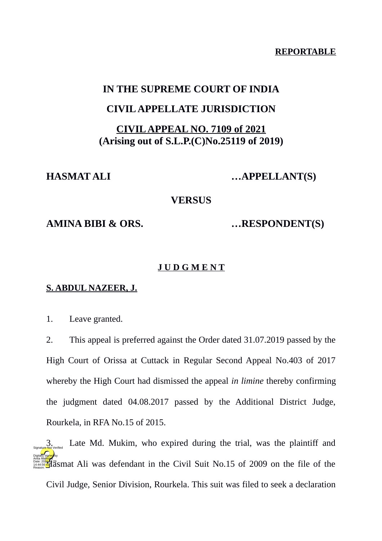**REPORTABLE**

# **IN THE SUPREME COURT OF INDIA**

# **CIVIL APPELLATE JURISDICTION**

# **CIVIL APPEAL NO. 7109 of 2021 (Arising out of S.L.P.(C)No.25119 of 2019)**

**HASMAT ALI …APPELLANT(S)** 

**VERSUS**

**AMINA BIBI & ORS. …RESPONDENT(S)**

# **J U D G M E N T**

### **S. ABDUL NAZEER, J.**

1. Leave granted.

2. This appeal is preferred against the Order dated 31.07.2019 passed by the High Court of Orissa at Cuttack in Regular Second Appeal No.403 of 2017 whereby the High Court had dismissed the appeal *in limine* thereby confirming the judgment dated 04.08.2017 passed by the Additional District Judge, Rourkela, in RFA No.15 of 2015.

Late Md. Mukim, who expired during the trial, was the plaintiff and  $\frac{\text{DATE} \times 200 \cdot \text{F}}{\text{DATE} \times 200 \cdot \text{F}}$  as mat Ali was defendant in the Civil Suit No.15 of 2009 on the file of the Civil Judge, Senior Division, Rourkela. This suit was filed to seek a declaration Digitally signed by Anita Mal<mark>hotr</mark>a 14:44:56 IST Reason: Signature Not Verified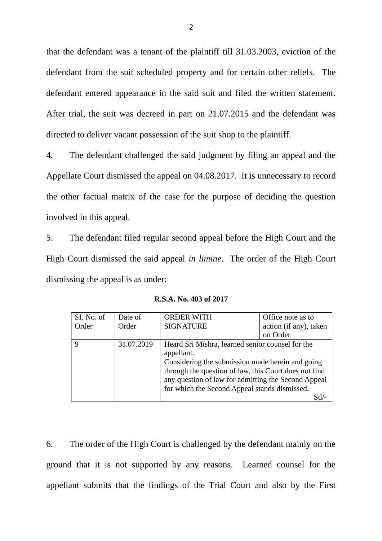that the defendant was a tenant of the plaintiff till 31.03.2003, eviction of the defendant from the suit scheduled property and for certain other reliefs. The defendant entered appearance in the said suit and filed the written statement. After trial, the suit was decreed in part on 21.07.2015 and the defendant was directed to deliver vacant possession of the suit shop to the plaintiff.

4. The defendant challenged the said judgment by filing an appeal and the Appellate Court dismissed the appeal on 04.08.2017. It is unnecessary to record the other factual matrix of the case for the purpose of deciding the question involved in this appeal.

5. The defendant filed regular second appeal before the High Court and the High Court dismissed the said appeal *in limine*. The order of the High Court dismissing the appeal is as under:

| SI. No. of | Date of    | <b>ORDER WITH</b> | Office note as to                                                                                                                                                                                                                                                     |  |
|------------|------------|-------------------|-----------------------------------------------------------------------------------------------------------------------------------------------------------------------------------------------------------------------------------------------------------------------|--|
| Order      | Order      | <b>SIGNATURE</b>  | action (if any), taken                                                                                                                                                                                                                                                |  |
|            |            |                   | on Order                                                                                                                                                                                                                                                              |  |
| 9          | 31.07.2019 | appellant.        | Heard Sri Mishra, learned senior counsel for the<br>Considering the submission made herein and going<br>through the question of law, this Court does not find<br>any question of law for admitting the Second Appeal<br>for which the Second Appeal stands dismissed. |  |

**R.S.A. No. 403 of 2017**

6. The order of the High Court is challenged by the defendant mainly on the ground that it is not supported by any reasons. Learned counsel for the appellant submits that the findings of the Trial Court and also by the First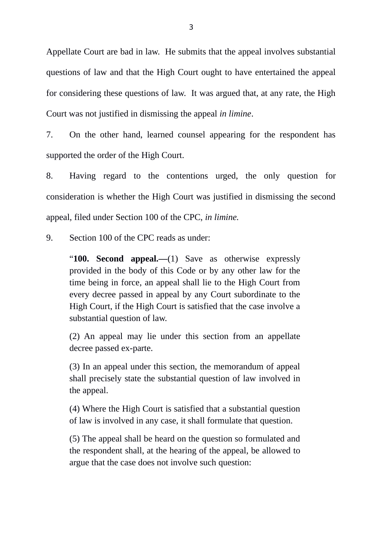Appellate Court are bad in law. He submits that the appeal involves substantial questions of law and that the High Court ought to have entertained the appeal for considering these questions of law. It was argued that, at any rate, the High Court was not justified in dismissing the appeal *in limine*.

7. On the other hand, learned counsel appearing for the respondent has supported the order of the High Court.

8. Having regard to the contentions urged, the only question for consideration is whether the High Court was justified in dismissing the second appeal, filed under Section 100 of the CPC, *in limine.*

9. Section 100 of the CPC reads as under:

"**100. Second appeal.—**(1) Save as otherwise expressly provided in the body of this Code or by any other law for the time being in force, an appeal shall lie to the High Court from every decree passed in appeal by any Court subordinate to the High Court, if the High Court is satisfied that the case involve a substantial question of law.

(2) An appeal may lie under this section from an appellate decree passed ex-parte.

(3) In an appeal under this section, the memorandum of appeal shall precisely state the substantial question of law involved in the appeal.

(4) Where the High Court is satisfied that a substantial question of law is involved in any case, it shall formulate that question.

(5) The appeal shall be heard on the question so formulated and the respondent shall, at the hearing of the appeal, be allowed to argue that the case does not involve such question: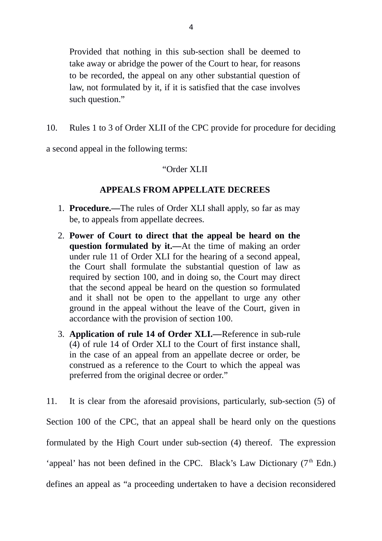Provided that nothing in this sub-section shall be deemed to take away or abridge the power of the Court to hear, for reasons to be recorded, the appeal on any other substantial question of law, not formulated by it, if it is satisfied that the case involves such question."

10. Rules 1 to 3 of Order XLII of the CPC provide for procedure for deciding

a second appeal in the following terms:

## "Order XLII

### **APPEALS FROM APPELLATE DECREES**

- 1. **Procedure.—**The rules of Order XLI shall apply, so far as may be, to appeals from appellate decrees.
- 2. **Power of Court to direct that the appeal be heard on the question formulated by it.—**At the time of making an order under rule 11 of Order XLI for the hearing of a second appeal, the Court shall formulate the substantial question of law as required by section 100, and in doing so, the Court may direct that the second appeal be heard on the question so formulated and it shall not be open to the appellant to urge any other ground in the appeal without the leave of the Court, given in accordance with the provision of section 100.
- 3. **Application of rule 14 of Order XLI.—**Reference in sub-rule (4) of rule 14 of Order XLI to the Court of first instance shall, in the case of an appeal from an appellate decree or order, be construed as a reference to the Court to which the appeal was preferred from the original decree or order."

11. It is clear from the aforesaid provisions, particularly, sub-section (5) of Section 100 of the CPC, that an appeal shall be heard only on the questions formulated by the High Court under sub-section (4) thereof. The expression 'appeal' has not been defined in the CPC. Black's Law Dictionary  $(7<sup>th</sup> Edn.)$ defines an appeal as "a proceeding undertaken to have a decision reconsidered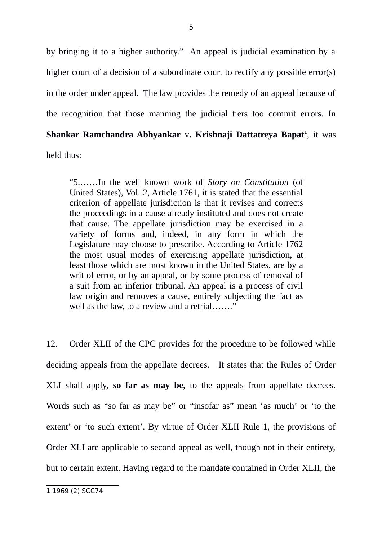by bringing it to a higher authority." An appeal is judicial examination by a higher court of a decision of a subordinate court to rectify any possible error(s) in the order under appeal. The law provides the remedy of an appeal because of the recognition that those manning the judicial tiers too commit errors. In **Shankar Ramchandra Abhyankar** v**. Krishnaji Dattatreya Bapat[1](#page-4-0)** , it was held thus:

"5.……In the well known work of *Story on Constitution* (of United States), Vol. 2, Article 1761, it is stated that the essential criterion of appellate jurisdiction is that it revises and corrects the proceedings in a cause already instituted and does not create that cause. The appellate jurisdiction may be exercised in a variety of forms and, indeed, in any form in which the Legislature may choose to prescribe. According to Article 1762 the most usual modes of exercising appellate jurisdiction, at least those which are most known in the United States, are by a writ of error, or by an appeal, or by some process of removal of a suit from an inferior tribunal. An appeal is a process of civil law origin and removes a cause, entirely subjecting the fact as well as the law, to a review and a retrial……."

12. Order XLII of the CPC provides for the procedure to be followed while deciding appeals from the appellate decrees. It states that the Rules of Order XLI shall apply, **so far as may be,** to the appeals from appellate decrees. Words such as "so far as may be" or "insofar as" mean 'as much' or 'to the extent' or 'to such extent'. By virtue of Order XLII Rule 1, the provisions of Order XLI are applicable to second appeal as well, though not in their entirety, but to certain extent. Having regard to the mandate contained in Order XLII, the

<span id="page-4-0"></span><sup>1 1969 (2)</sup> SCC74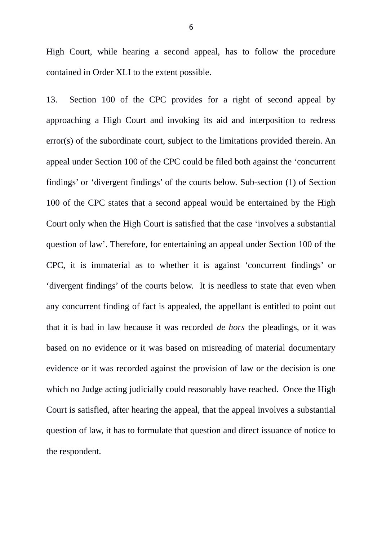High Court, while hearing a second appeal, has to follow the procedure contained in Order XLI to the extent possible.

13. Section 100 of the CPC provides for a right of second appeal by approaching a High Court and invoking its aid and interposition to redress error(s) of the subordinate court, subject to the limitations provided therein. An appeal under Section 100 of the CPC could be filed both against the 'concurrent findings' or 'divergent findings' of the courts below. Sub-section (1) of Section 100 of the CPC states that a second appeal would be entertained by the High Court only when the High Court is satisfied that the case 'involves a substantial question of law'. Therefore, for entertaining an appeal under Section 100 of the CPC, it is immaterial as to whether it is against 'concurrent findings' or 'divergent findings' of the courts below. It is needless to state that even when any concurrent finding of fact is appealed, the appellant is entitled to point out that it is bad in law because it was recorded *de hors* the pleadings, or it was based on no evidence or it was based on misreading of material documentary evidence or it was recorded against the provision of law or the decision is one which no Judge acting judicially could reasonably have reached. Once the High Court is satisfied, after hearing the appeal, that the appeal involves a substantial question of law, it has to formulate that question and direct issuance of notice to the respondent.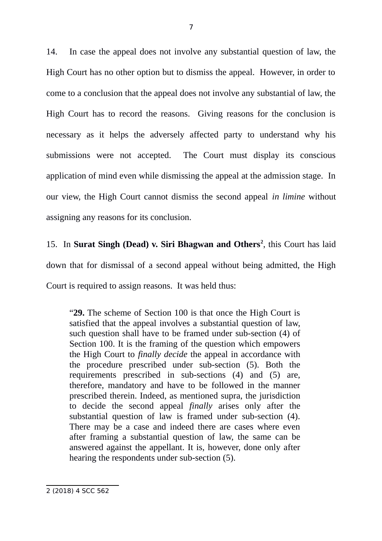14. In case the appeal does not involve any substantial question of law, the High Court has no other option but to dismiss the appeal. However, in order to come to a conclusion that the appeal does not involve any substantial of law, the High Court has to record the reasons. Giving reasons for the conclusion is necessary as it helps the adversely affected party to understand why his submissions were not accepted. The Court must display its conscious application of mind even while dismissing the appeal at the admission stage. In our view, the High Court cannot dismiss the second appeal *in limine* without assigning any reasons for its conclusion.

15. In **Surat Singh (Dead) v. Siri Bhagwan and Others[2](#page-6-0)** , this Court has laid down that for dismissal of a second appeal without being admitted, the High Court is required to assign reasons. It was held thus:

"**29.** The scheme of Section 100 is that once the High Court is satisfied that the appeal involves a substantial question of law, such question shall have to be framed under sub-section (4) of Section 100. It is the framing of the question which empowers the High Court to *finally decide* the appeal in accordance with the procedure prescribed under sub-section (5). Both the requirements prescribed in sub-sections (4) and (5) are, therefore, mandatory and have to be followed in the manner prescribed therein. Indeed, as mentioned supra, the jurisdiction to decide the second appeal *finally* arises only after the substantial question of law is framed under sub-section (4). There may be a case and indeed there are cases where even after framing a substantial question of law, the same can be answered against the appellant. It is, however, done only after hearing the respondents under sub-section (5).

<span id="page-6-0"></span><sup>2 (2018) 4</sup> SCC 562